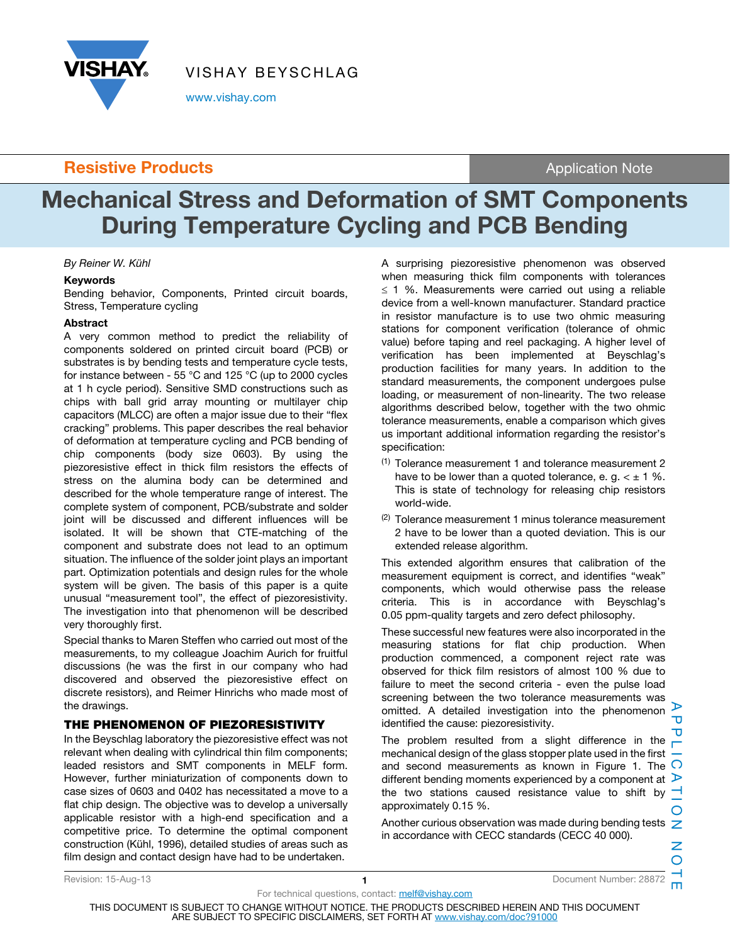

VISHAY BEYSCHLAG

www.vishay.com

# **Resistive Products Application Note Application Note**

# Mechanical Stress and Deformation of SMT Components During Temperature Cycling and PCB Bending

By Reiner W. Kühl

### Keywords

Bending behavior, Components, Printed circuit boards, Stress, Temperature cycling

### Abstract

A very common method to predict the reliability of components soldered on printed circuit board (PCB) or substrates is by bending tests and temperature cycle tests, for instance between - 55 °C and 125 °C (up to 2000 cycles at 1 h cycle period). Sensitive SMD constructions such as chips with ball grid array mounting or multilayer chip capacitors (MLCC) are often a major issue due to their "flex cracking" problems. This paper describes the real behavior of deformation at temperature cycling and PCB bending of chip components (body size 0603). By using the piezoresistive effect in thick film resistors the effects of stress on the alumina body can be determined and described for the whole temperature range of interest. The complete system of component, PCB/substrate and solder joint will be discussed and different influences will be isolated. It will be shown that CTE-matching of the component and substrate does not lead to an optimum situation. The influence of the solder joint plays an important part. Optimization potentials and design rules for the whole system will be given. The basis of this paper is a quite unusual "measurement tool", the effect of piezoresistivity. The investigation into that phenomenon will be described very thoroughly first.

Special thanks to Maren Steffen who carried out most of the measurements, to my colleague Joachim Aurich for fruitful discussions (he was the first in our company who had discovered and observed the piezoresistive effect on discrete resistors), and Reimer Hinrichs who made most of the drawings.

### THE PHENOMENON OF PIEZORESISTIVITY

In the Beyschlag laboratory the piezoresistive effect was not relevant when dealing with cylindrical thin film components; leaded resistors and SMT components in MELF form. However, further miniaturization of components down to case sizes of 0603 and 0402 has necessitated a move to a flat chip design. The objective was to develop a universally applicable resistor with a high-end specification and a competitive price. To determine the optimal component construction (Kühl, 1996), detailed studies of areas such as film design and contact design have had to be undertaken.

A surprising piezoresistive phenomenon was observed when measuring thick film components with tolerances  $\leq$  1 %. Measurements were carried out using a reliable device from a well-known manufacturer. Standard practice in resistor manufacture is to use two ohmic measuring stations for component verification (tolerance of ohmic value) before taping and reel packaging. A higher level of verification has been implemented at Beyschlag's production facilities for many years. In addition to the standard measurements, the component undergoes pulse loading, or measurement of non-linearity. The two release algorithms described below, together with the two ohmic tolerance measurements, enable a comparison which gives us important additional information regarding the resistor's specification:

- (1) Tolerance measurement 1 and tolerance measurement 2 have to be lower than a quoted tolerance, e. g.  $\lt \pm 1$  %. This is state of technology for releasing chip resistors world-wide.
- $(2)$  Tolerance measurement 1 minus tolerance measurement 2 have to be lower than a quoted deviation. This is our extended release algorithm.

This extended algorithm ensures that calibration of the measurement equipment is correct, and identifies "weak" components, which would otherwise pass the release criteria. This is in accordance with Beyschlag's 0.05 ppm-quality targets and zero defect philosophy.

These successful new features were also incorporated in the measuring stations for flat chip production. When production commenced, a component reject rate was observed for thick film resistors of almost 100 % due to failure to meet the second criteria - even the pulse load screening between the two tolerance measurements was omitted. A detailed investigation into the phenomenon  $\triangleright$ identified the cause: piezoresistivity.

The problem resulted from a slight difference in the mechanical design of the glass stopper plate used in the first and second measurements as known in Figure 1. The  $\Omega$ different bending moments experienced by a component at  $\triangleright$ the two stations caused resistance value to shift by  $\neg$ approximately 0.15 %.

Another curious observation was made during bending tests  $\overline{z}$ in accordance with CECC standards (CECC 40 000).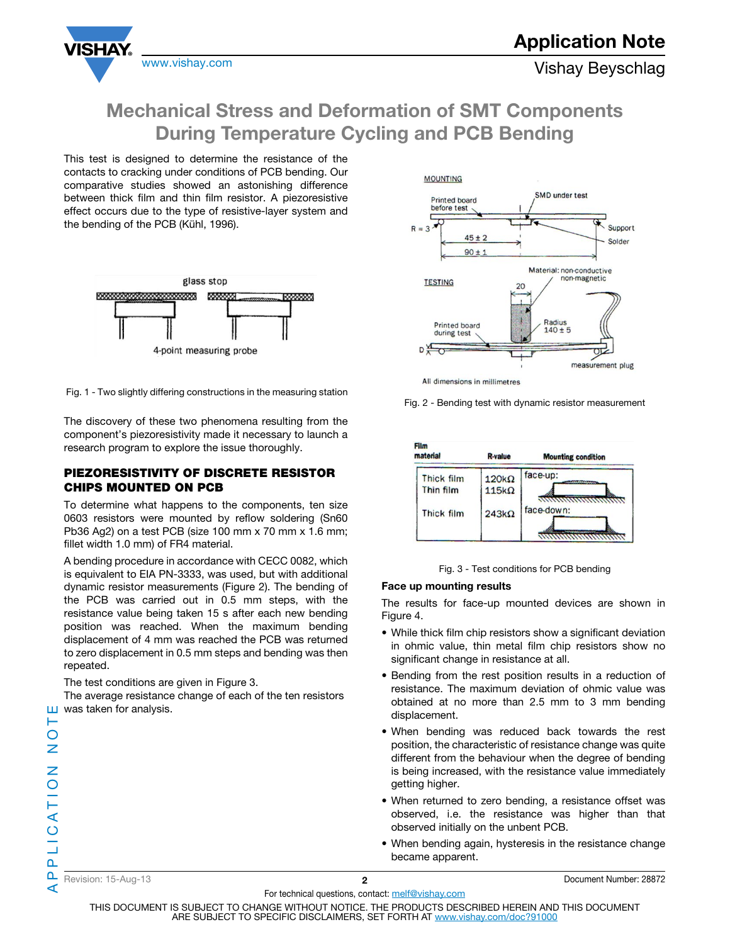

This test is designed to determine the resistance of the contacts to cracking under conditions of PCB bending. Our comparative studies showed an astonishing difference between thick film and thin film resistor. A piezoresistive effect occurs due to the type of resistive-layer system and the bending of the PCB (Kühl, 1996).

**VISHAY** 



Fig. 1 - Two slightly differing constructions in the measuring station

The discovery of these two phenomena resulting from the component's piezoresistivity made it necessary to launch a research program to explore the issue thoroughly.

### PIEZORESISTIVITY OF DISCRETE RESISTOR CHIPS MOUNTED ON PCB

To determine what happens to the components, ten size 0603 resistors were mounted by reflow soldering (Sn60 Pb36 Ag2) on a test PCB (size 100 mm x 70 mm x 1.6 mm; fillet width 1.0 mm) of FR4 material.

A bending procedure in accordance with CECC 0082, which is equivalent to EIA PN-3333, was used, but with additional dynamic resistor measurements (Figure 2). The bending of the PCB was carried out in 0.5 mm steps, with the resistance value being taken 15 s after each new bending position was reached. When the maximum bending displacement of 4 mm was reached the PCB was returned to zero displacement in 0.5 mm steps and bending was then repeated.

The test conditions are given in Figure 3.

The average resistance change of each of the ten resistors  $\Box$  was taken for analysis.



All dimensions in millimetres

Fig. 2 - Bending test with dynamic resistor measurement



Fig. 3 - Test conditions for PCB bending

### Face up mounting results

The results for face-up mounted devices are shown in Figure 4.

- While thick film chip resistors show a significant deviation in ohmic value, thin metal film chip resistors show no significant change in resistance at all.
- Bending from the rest position results in a reduction of resistance. The maximum deviation of ohmic value was obtained at no more than 2.5 mm to 3 mm bending displacement.
- When bending was reduced back towards the rest position, the characteristic of resistance change was quite different from the behaviour when the degree of bending is being increased, with the resistance value immediately getting higher.
- When returned to zero bending, a resistance offset was observed, i.e. the resistance was higher than that observed initially on the unbent PCB.
- When bending again, hysteresis in the resistance change became apparent.

For technical questions, contact: melf@vishay.com THIS DOCUMENT IS SUBJECT TO CHANGE WITHOUT NOTICE. THE PRODUCTS DESCRIBED HEREIN AND THIS DOCUMENT

ARE SUBJECT TO SPECIFIC DISCLAIMERS, SET FORTH AT www.vishay.com/doc?91000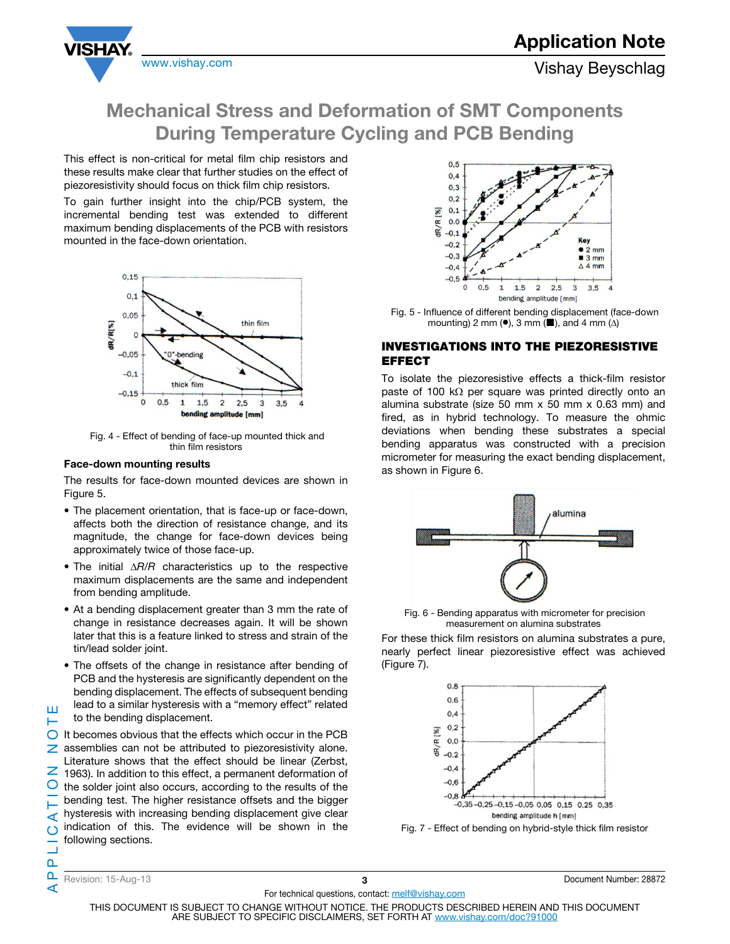



This effect is non-critical for metal film chip resistors and these results make clear that further studies on the effect of piezoresistivity should focus on thick film chip resistors.

To gain further insight into the chip/PCB system, the incremental bending test was extended to different maximum bending displacements of the PCB with resistors mounted in the face-down orientation.



 Fig. 4 - Effect of bending of face-up mounted thick and thin film resistors

### Face-down mounting results

The results for face-down mounted devices are shown in Figure 5.

- The placement orientation, that is face-up or face-down, affects both the direction of resistance change, and its magnitude, the change for face-down devices being approximately twice of those face-up.
- The initial  $\Delta R/R$  characteristics up to the respective maximum displacements are the same and independent from bending amplitude.
- At a bending displacement greater than 3 mm the rate of change in resistance decreases again. It will be shown later that this is a feature linked to stress and strain of the tin/lead solder joint.
- The offsets of the change in resistance after bending of PCB and the hysteresis are significantly dependent on the bending displacement. The effects of subsequent bending lead to a similar hysteresis with a "memory effect" related
- Ш to the bending displacement.

APPLICATION NOTE  $\bigcirc$  It becomes obvious that the effects which occur in the PCB  $\geq$  assemblies can not be attributed to piezoresistivity alone. Literature shows that the effect should be linear (Zerbst,  $\overline{2}$  1963). In addition to this effect, a permanent deformation of O the solder joint also occurs, according to the results of the bending test. The higher resistance offsets and the bigger hysteresis with increasing bending displacement give clear ⋖ indication of this. The evidence will be shown in the  $\circ$ following sections.



 Fig. 5 - Influence of different bending displacement (face-down mounting) 2 mm ( $\bullet$ ), 3 mm ( $\blacksquare$ ), and 4 mm ( $\Delta$ )

### INVESTIGATIONS INTO THE PIEZORESISTIVE EFFECT

To isolate the piezoresistive effects a thick-film resistor paste of 100 k $\Omega$  per square was printed directly onto an alumina substrate (size 50 mm  $x$  50 mm  $x$  0.63 mm) and fired, as in hybrid technology. To measure the ohmic deviations when bending these substrates a special bending apparatus was constructed with a precision micrometer for measuring the exact bending displacement, as shown in Figure 6.



 Fig. 6 - Bending apparatus with micrometer for precision measurement on alumina substrates

For these thick film resistors on alumina substrates a pure, nearly perfect linear piezoresistive effect was achieved (Figure 7).



Fig. 7 - Effect of bending on hybrid-style thick film resistor

n. ⋖

 $\mathbf{a}$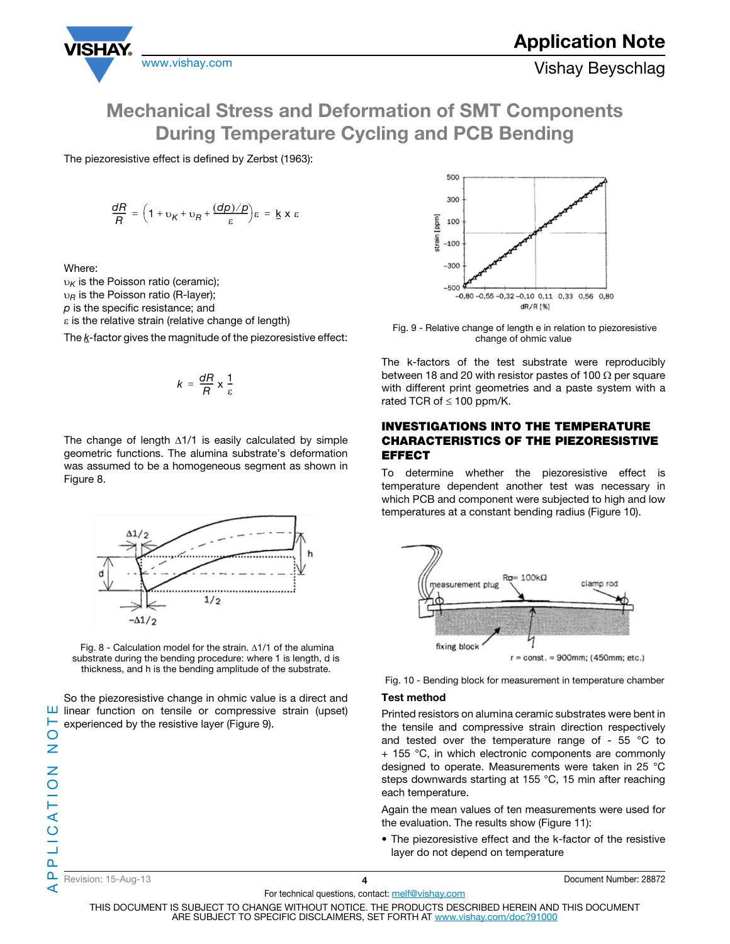

The piezoresistive effect is defined by Zerbst (1963):

$$
\frac{dR}{R} = \left(1 + v_K + v_R + \frac{(dp)/p}{\varepsilon}\right)\varepsilon = \underline{k} \times \varepsilon
$$

Where:

 $v_K$  is the Poisson ratio (ceramic);

 $v_R$  is the Poisson ratio (R-layer);

 $p$  is the specific resistance; and

 $\varepsilon$  is the relative strain (relative change of length)

The  $k$ -factor gives the magnitude of the piezoresistive effect:

$$
k = \frac{dR}{R} \times \frac{1}{\varepsilon}
$$

The change of length  $\Delta$ 1/1 is easily calculated by simple geometric functions. The alumina substrate's deformation was assumed to be a homogeneous segment as shown in Figure 8.



Fig. 8 - Calculation model for the strain.  $\Delta 1/1$  of the alumina substrate during the bending procedure: where 1 is length, d is thickness, and h is the bending amplitude of the substrate.

So the piezoresistive change in ohmic value is a direct and  $\Box$  linear function on tensile or compressive strain (upset) experienced by the resistive layer (Figure 9).



 Fig. 9 - Relative change of length e in relation to piezoresistive change of ohmic value

The k-factors of the test substrate were reproducibly between 18 and 20 with resistor pastes of 100  $\Omega$  per square with different print geometries and a paste system with a rated TCR of  $\leq 100$  ppm/K.

### INVESTIGATIONS INTO THE TEMPERATURE CHARACTERISTICS OF THE PIEZORESISTIVE EFFECT

To determine whether the piezoresistive effect is temperature dependent another test was necessary in which PCB and component were subjected to high and low temperatures at a constant bending radius (Figure 10).



Fig. 10 - Bending block for measurement in temperature chamber

### Test method

Printed resistors on alumina ceramic substrates were bent in the tensile and compressive strain direction respectively and tested over the temperature range of - 55 °C to + 155 °C, in which electronic components are commonly designed to operate. Measurements were taken in 25 °C steps downwards starting at 155 °C, 15 min after reaching each temperature.

Again the mean values of ten measurements were used for the evaluation. The results show (Figure 11):

• The piezoresistive effect and the k-factor of the resistive layer do not depend on temperature

H  $\bigcirc$ 

Revision: 15-Aug-13 4 Document Number: 28872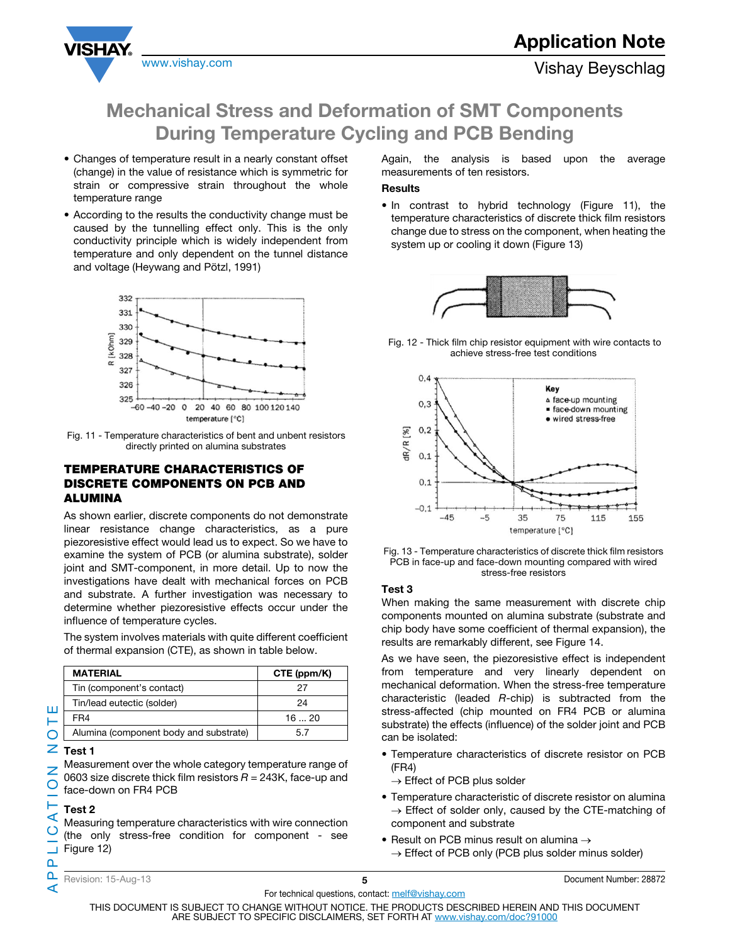

- Changes of temperature result in a nearly constant offset (change) in the value of resistance which is symmetric for strain or compressive strain throughout the whole temperature range
- According to the results the conductivity change must be caused by the tunnelling effect only. This is the only conductivity principle which is widely independent from temperature and only dependent on the tunnel distance and voltage (Heywang and Pötzl, 1991)



 Fig. 11 - Temperature characteristics of bent and unbent resistors directly printed on alumina substrates

### TEMPERATURE CHARACTERISTICS OF DISCRETE COMPONENTS ON PCB AND ALUMINA

As shown earlier, discrete components do not demonstrate linear resistance change characteristics, as a pure piezoresistive effect would lead us to expect. So we have to examine the system of PCB (or alumina substrate), solder joint and SMT-component, in more detail. Up to now the investigations have dealt with mechanical forces on PCB and substrate. A further investigation was necessary to determine whether piezoresistive effects occur under the influence of temperature cycles.

The system involves materials with quite different coefficient of thermal expansion (CTE), as shown in table below.

| <b>MATERIAL</b>                        | CTE (ppm/K) |
|----------------------------------------|-------------|
| Tin (component's contact)              | 27          |
| Tin/lead eutectic (solder)             | 24          |
| FR4                                    | 1620        |
| Alumina (component body and substrate) | 57          |

# APPLICATION NOTE  $Z$  Test 1

Ш щ  $\overline{O}$ 

Z  $\bigcirc$ 

 $\circ$ 

 $\mathbf{a}$ n. ⋖ Measurement over the whole category temperature range of 0603 size discrete thick film resistors  $R = 243K$ , face-up and face-down on FR4 PCB

### Test 2 ⋖

Measuring temperature characteristics with wire connection (the only stress-free condition for component - see Figure 12)

Again, the analysis is based upon the average measurements of ten resistors.

### Results

• In contrast to hybrid technology (Figure 11), the temperature characteristics of discrete thick film resistors change due to stress on the component, when heating the system up or cooling it down (Figure 13)



 Fig. 12 - Thick film chip resistor equipment with wire contacts to achieve stress-free test conditions



 Fig. 13 - Temperature characteristics of discrete thick film resistors PCB in face-up and face-down mounting compared with wired stress-free resistors

### Test 3

When making the same measurement with discrete chip components mounted on alumina substrate (substrate and chip body have some coefficient of thermal expansion), the results are remarkably different, see Figure 14.

As we have seen, the piezoresistive effect is independent from temperature and very linearly dependent on mechanical deformation. When the stress-free temperature characteristic (leaded R-chip) is subtracted from the stress-affected (chip mounted on FR4 PCB or alumina substrate) the effects (influence) of the solder joint and PCB can be isolated:

• Temperature characteristics of discrete resistor on PCB (FR4)

 $\rightarrow$  Effect of PCB plus solder

- Temperature characteristic of discrete resistor on alumina  $\rightarrow$  Effect of solder only, caused by the CTE-matching of component and substrate
- Result on PCB minus result on alumina  $\rightarrow$ 
	- $\rightarrow$  Effect of PCB only (PCB plus solder minus solder)

THIS DOCUMENT IS SUBJECT TO CHANGE WITHOUT NOTICE. THE PRODUCTS DESCRIBED HEREIN AND THIS DOCUMENT ARE SUBJECT TO SPECIFIC DISCLAIMERS, SET FORTH AT www.vishay.com/doc?91000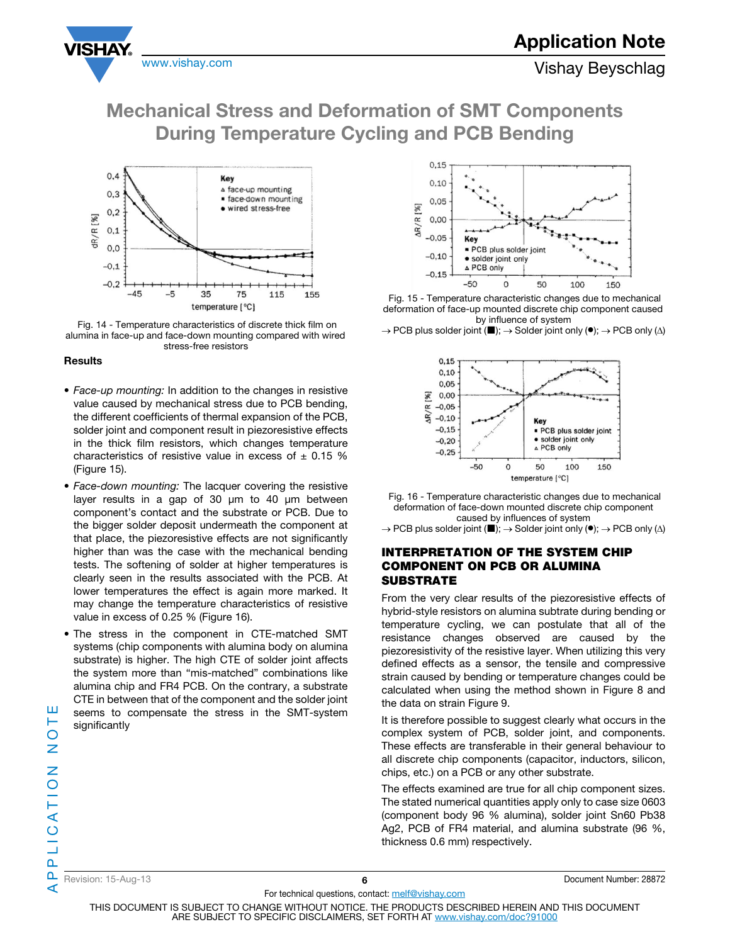





 Fig. 14 - Temperature characteristics of discrete thick film on alumina in face-up and face-down mounting compared with wired stress-free resistors

### **Results**

- Face-up mounting: In addition to the changes in resistive value caused by mechanical stress due to PCB bending, the different coefficients of thermal expansion of the PCB, solder joint and component result in piezoresistive effects in the thick film resistors, which changes temperature characteristics of resistive value in excess of  $\pm$  0.15 % (Figure 15).
- Face-down mounting: The lacquer covering the resistive layer results in a gap of 30 μm to 40 μm between component's contact and the substrate or PCB. Due to the bigger solder deposit undermeath the component at that place, the piezoresistive effects are not significantly higher than was the case with the mechanical bending tests. The softening of solder at higher temperatures is clearly seen in the results associated with the PCB. At lower temperatures the effect is again more marked. It may change the temperature characteristics of resistive value in excess of 0.25 % (Figure 16).
- The stress in the component in CTE-matched SMT systems (chip components with alumina body on alumina substrate) is higher. The high CTE of solder joint affects the system more than "mis-matched" combinations like alumina chip and FR4 PCB. On the contrary, a substrate CTE in between that of the component and the solder joint seems to compensate the stress in the SMT-system significantly



 Fig. 15 - Temperature characteristic changes due to mechanical deformation of face-up mounted discrete chip component caused by influence of system

 $\rightarrow$  PCB plus solder joint ( $\blacksquare$ );  $\rightarrow$  Solder joint only ( $\lozenge$ );  $\rightarrow$  PCB only ( $\triangle$ )



 Fig. 16 - Temperature characteristic changes due to mechanical deformation of face-down mounted discrete chip component caused by influences of system

 $\rightarrow$  PCB plus solder joint (■);  $\rightarrow$  Solder joint only (●);  $\rightarrow$  PCB only (∆)

### INTERPRETATION OF THE SYSTEM CHIP COMPONENT ON PCB OR ALUMINA **SUBSTRATE**

From the very clear results of the piezoresistive effects of hybrid-style resistors on alumina subtrate during bending or temperature cycling, we can postulate that all of the resistance changes observed are caused by the piezoresistivity of the resistive layer. When utilizing this very defined effects as a sensor, the tensile and compressive strain caused by bending or temperature changes could be calculated when using the method shown in Figure 8 and the data on strain Figure 9.

It is therefore possible to suggest clearly what occurs in the complex system of PCB, solder joint, and components. These effects are transferable in their general behaviour to all discrete chip components (capacitor, inductors, silicon, chips, etc.) on a PCB or any other substrate.

The effects examined are true for all chip component sizes. The stated numerical quantities apply only to case size 0603 (component body 96 % alumina), solder joint Sn60 Pb38 Ag2, PCB of FR4 material, and alumina substrate (96 %, thickness 0.6 mm) respectively.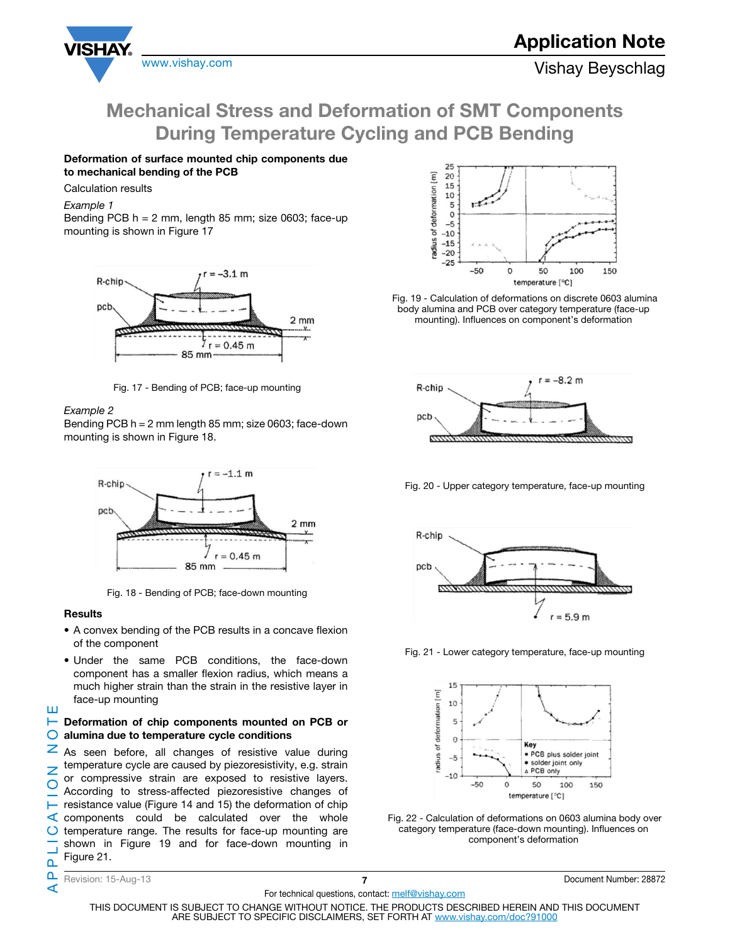

### Deformation of surface mounted chip components due to mechanical bending of the PCB

### Calculation results

Example 1

Bending PCB  $h = 2$  mm, length 85 mm; size 0603; face-up mounting is shown in Figure 17



Fig. 17 - Bending of PCB; face-up mounting

### Example 2

Bending PCB h = 2 mm length 85 mm; size 0603; face-down mounting is shown in Figure 18.



Fig. 18 - Bending of PCB; face-down mounting

### Results

Ш

- A convex bending of the PCB results in a concave flexion of the component
- Under the same PCB conditions, the face-down component has a smaller flexion radius, which means a much higher strain than the strain in the resistive layer in face-up mounting

### $\blacktriangleright$  Deformation of chip components mounted on PCB or  $\bigcirc$  alumina due to temperature cycle conditions

APPLICATION NOTE z As seen before, all changes of resistive value during temperature cycle are caused by piezoresistivity, e.g. strain Z or compressive strain are exposed to resistive layers.  $\overline{O}$ According to stress-affected piezoresistive changes of resistance value (Figure 14 and 15) the deformation of chip components could be calculated over the whole  $\circ$ temperature range. The results for face-up mounting are shown in Figure 19 and for face-down mounting in Figure 21.  $\mathbf{a}$ 



 Fig. 19 - Calculation of deformations on discrete 0603 alumina body alumina and PCB over category temperature (face-up mounting). Influences on component's deformation



Fig. 20 - Upper category temperature, face-up mounting



Fig. 21 - Lower category temperature, face-up mounting



 Fig. 22 - Calculation of deformations on 0603 alumina body over category temperature (face-down mounting). Influences on component's deformation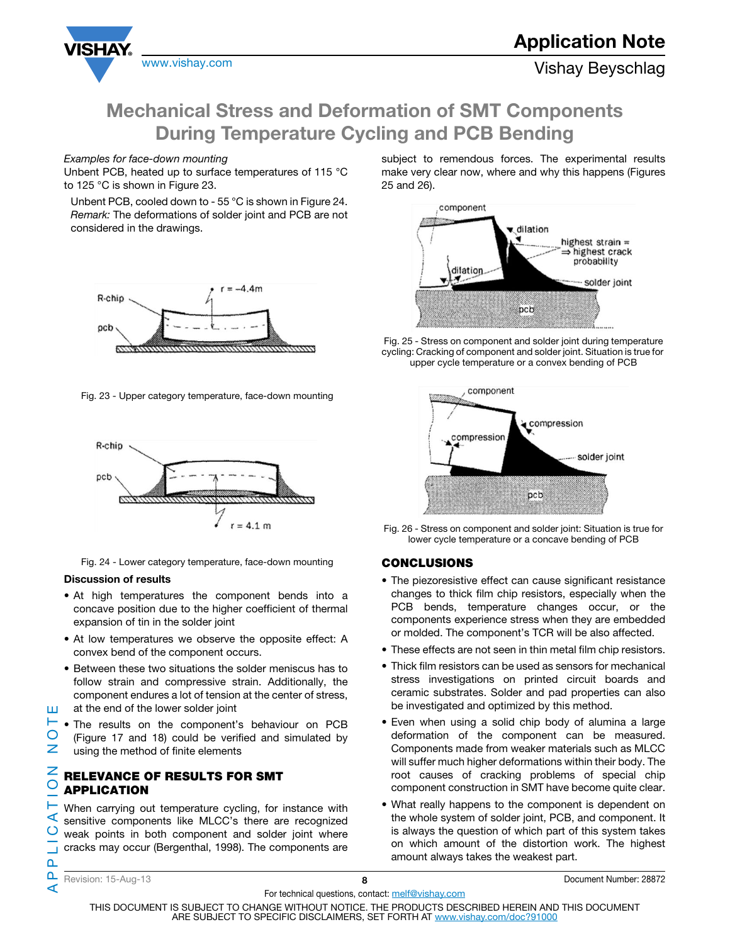

### Examples for face-down mounting

Unbent PCB, heated up to surface temperatures of 115 °C to 125 °C is shown in Figure 23.

Unbent PCB, cooled down to - 55 °C is shown in Figure 24. Remark: The deformations of solder joint and PCB are not considered in the drawings.



Fig. 23 - Upper category temperature, face-down mounting



Fig. 24 - Lower category temperature, face-down mounting

### Discussion of results

- At high temperatures the component bends into a concave position due to the higher coefficient of thermal expansion of tin in the solder joint
- At low temperatures we observe the opposite effect: A convex bend of the component occurs.
- Between these two situations the solder meniscus has to follow strain and compressive strain. Additionally, the component endures a lot of tension at the center of stress, at the end of the lower solder joint
- ⊢ • The results on the component's behaviour on PCB  $\bigcirc$ (Figure 17 and 18) could be verified and simulated by  $\overline{z}$ using the method of finite elements

### Z RELEVANCE OF RESULTS FOR SMT  $\overline{O}$ APPLICATION

When carrying out temperature cycling, for instance with ⊄ sensitive components like MLCC's there are recognized weak points in both component and solder joint where cracks may occur (Bergenthal, 1998). The components are subject to remendous forces. The experimental results make very clear now, where and why this happens (Figures 25 and 26).



 Fig. 25 - Stress on component and solder joint during temperature cycling: Cracking of component and solder joint. Situation is true for upper cycle temperature or a convex bending of PCB



 Fig. 26 - Stress on component and solder joint: Situation is true for lower cycle temperature or a concave bending of PCB

### **CONCLUSIONS**

- The piezoresistive effect can cause significant resistance changes to thick film chip resistors, especially when the PCB bends, temperature changes occur, or the components experience stress when they are embedded or molded. The component's TCR will be also affected.
- These effects are not seen in thin metal film chip resistors.
- Thick film resistors can be used as sensors for mechanical stress investigations on printed circuit boards and ceramic substrates. Solder and pad properties can also be investigated and optimized by this method.
- Even when using a solid chip body of alumina a large deformation of the component can be measured. Components made from weaker materials such as MLCC will suffer much higher deformations within their body. The root causes of cracking problems of special chip component construction in SMT have become quite clear.
- What really happens to the component is dependent on the whole system of solder joint, PCB, and component. It is always the question of which part of this system takes on which amount of the distortion work. The highest amount always takes the weakest part.

APPLICATION NOTE  $\circ$  $\mathbf{a}$ n. ⋖

Ħ

For technical questions, contact: melf@vishay.com THIS DOCUMENT IS SUBJECT TO CHANGE WITHOUT NOTICE. THE PRODUCTS DESCRIBED HEREIN AND THIS DOCUMENT ARE SUBJECT TO SPECIFIC DISCLAIMERS, SET FORTH AT www.vishay.com/doc?91000